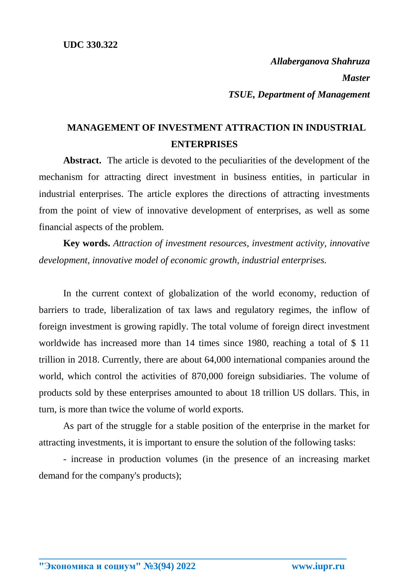*Allaberganova Shahruza Master TSUE, Department of Management*

## **MANAGEMENT OF INVESTMENT ATTRACTION IN INDUSTRIAL ENTERPRISES**

**Abstract.** The article is devoted to the peculiarities of the development of the mechanism for attracting direct investment in business entities, in particular in industrial enterprises. The article explores the directions of attracting investments from the point of view of innovative development of enterprises, as well as some financial aspects of the problem.

**Key words.** *Attraction of investment resources, investment activity, innovative development, innovative model of economic growth, industrial enterprises.*

In the current context of globalization of the world economy, reduction of barriers to trade, liberalization of tax laws and regulatory regimes, the inflow of foreign investment is growing rapidly. The total volume of foreign direct investment worldwide has increased more than 14 times since 1980, reaching a total of \$ 11 trillion in 2018. Currently, there are about 64,000 international companies around the world, which control the activities of 870,000 foreign subsidiaries. The volume of products sold by these enterprises amounted to about 18 trillion US dollars. This, in turn, is more than twice the volume of world exports.

As part of the struggle for a stable position of the enterprise in the market for attracting investments, it is important to ensure the solution of the following tasks:

- increase in production volumes (in the presence of an increasing market demand for the company's products);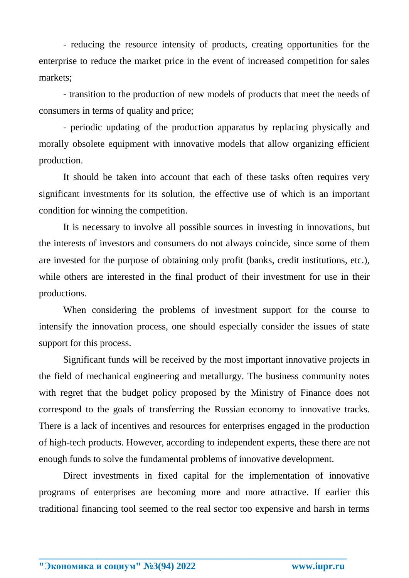- reducing the resource intensity of products, creating opportunities for the enterprise to reduce the market price in the event of increased competition for sales markets;

- transition to the production of new models of products that meet the needs of consumers in terms of quality and price;

- periodic updating of the production apparatus by replacing physically and morally obsolete equipment with innovative models that allow organizing efficient production.

It should be taken into account that each of these tasks often requires very significant investments for its solution, the effective use of which is an important condition for winning the competition.

It is necessary to involve all possible sources in investing in innovations, but the interests of investors and consumers do not always coincide, since some of them are invested for the purpose of obtaining only profit (banks, credit institutions, etc.), while others are interested in the final product of their investment for use in their productions.

When considering the problems of investment support for the course to intensify the innovation process, one should especially consider the issues of state support for this process.

Significant funds will be received by the most important innovative projects in the field of mechanical engineering and metallurgy. The business community notes with regret that the budget policy proposed by the Ministry of Finance does not correspond to the goals of transferring the Russian economy to innovative tracks. There is a lack of incentives and resources for enterprises engaged in the production of high-tech products. However, according to independent experts, these there are not enough funds to solve the fundamental problems of innovative development.

Direct investments in fixed capital for the implementation of innovative programs of enterprises are becoming more and more attractive. If earlier this traditional financing tool seemed to the real sector too expensive and harsh in terms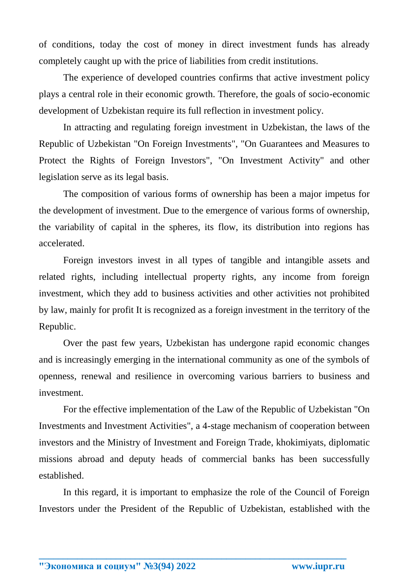of conditions, today the cost of money in direct investment funds has already completely caught up with the price of liabilities from credit institutions.

The experience of developed countries confirms that active investment policy plays a central role in their economic growth. Therefore, the goals of socio-economic development of Uzbekistan require its full reflection in investment policy.

In attracting and regulating foreign investment in Uzbekistan, the laws of the Republic of Uzbekistan "On Foreign Investments", "On Guarantees and Measures to Protect the Rights of Foreign Investors", "On Investment Activity" and other legislation serve as its legal basis.

The composition of various forms of ownership has been a major impetus for the development of investment. Due to the emergence of various forms of ownership, the variability of capital in the spheres, its flow, its distribution into regions has accelerated.

Foreign investors invest in all types of tangible and intangible assets and related rights, including intellectual property rights, any income from foreign investment, which they add to business activities and other activities not prohibited by law, mainly for profit It is recognized as a foreign investment in the territory of the Republic.

Over the past few years, Uzbekistan has undergone rapid economic changes and is increasingly emerging in the international community as one of the symbols of openness, renewal and resilience in overcoming various barriers to business and investment.

For the effective implementation of the Law of the Republic of Uzbekistan "On Investments and Investment Activities", a 4-stage mechanism of cooperation between investors and the Ministry of Investment and Foreign Trade, khokimiyats, diplomatic missions abroad and deputy heads of commercial banks has been successfully established.

In this regard, it is important to emphasize the role of the Council of Foreign Investors under the President of the Republic of Uzbekistan, established with the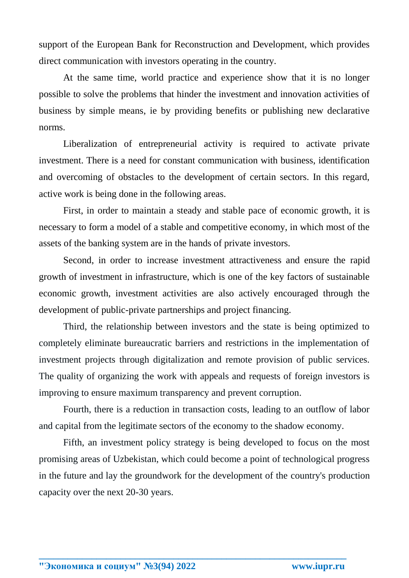support of the European Bank for Reconstruction and Development, which provides direct communication with investors operating in the country.

At the same time, world practice and experience show that it is no longer possible to solve the problems that hinder the investment and innovation activities of business by simple means, ie by providing benefits or publishing new declarative norms.

Liberalization of entrepreneurial activity is required to activate private investment. There is a need for constant communication with business, identification and overcoming of obstacles to the development of certain sectors. In this regard, active work is being done in the following areas.

First, in order to maintain a steady and stable pace of economic growth, it is necessary to form a model of a stable and competitive economy, in which most of the assets of the banking system are in the hands of private investors.

Second, in order to increase investment attractiveness and ensure the rapid growth of investment in infrastructure, which is one of the key factors of sustainable economic growth, investment activities are also actively encouraged through the development of public-private partnerships and project financing.

Third, the relationship between investors and the state is being optimized to completely eliminate bureaucratic barriers and restrictions in the implementation of investment projects through digitalization and remote provision of public services. The quality of organizing the work with appeals and requests of foreign investors is improving to ensure maximum transparency and prevent corruption.

Fourth, there is a reduction in transaction costs, leading to an outflow of labor and capital from the legitimate sectors of the economy to the shadow economy.

Fifth, an investment policy strategy is being developed to focus on the most promising areas of Uzbekistan, which could become a point of technological progress in the future and lay the groundwork for the development of the country's production capacity over the next 20-30 years.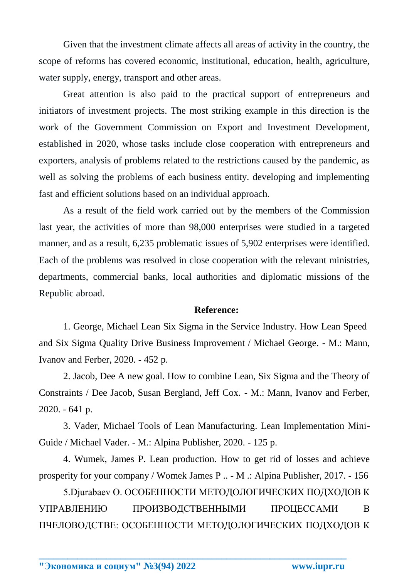Given that the investment climate affects all areas of activity in the country, the scope of reforms has covered economic, institutional, education, health, agriculture, water supply, energy, transport and other areas.

Great attention is also paid to the practical support of entrepreneurs and initiators of investment projects. The most striking example in this direction is the work of the Government Commission on Export and Investment Development, established in 2020, whose tasks include close cooperation with entrepreneurs and exporters, analysis of problems related to the restrictions caused by the pandemic, as well as solving the problems of each business entity. developing and implementing fast and efficient solutions based on an individual approach.

As a result of the field work carried out by the members of the Commission last year, the activities of more than 98,000 enterprises were studied in a targeted manner, and as a result,  $6,235$  problematic issues of  $5,902$  enterprises were identified. Each of the problems was resolved in close cooperation with the relevant ministries, departments, commercial banks, local authorities and diplomatic missions of the Republic abroad.

## **Reference:**

1. George, Michael Lean Six Sigma in the Service Industry. How Lean Speed and Six Sigma Quality Drive Business Improvement / Michael George. - M.: Mann, Ivanov and Ferber, 2020. - 452 p.

2. Jacob, Dee A new goal. How to combine Lean, Six Sigma and the Theory of Constraints / Dee Jacob, Susan Bergland, Jeff Cox. - M.: Mann, Ivanov and Ferber, 2020. - 641 p.

3. Vader, Michael Tools of Lean Manufacturing. Lean Implementation Mini-Guide / Michael Vader. - M.: Alpina Publisher, 2020. - 125 p.

4. Wumek, James P. Lean production. How to get rid of losses and achieve prosperity for your company / Womek James P .. - M .: Alpina Publisher, 2017. - 156

5.Djurabaev O. ОСОБЕННОСТИ МЕТОДОЛОГИЧЕСКИХ ПОДХОДОВ К УПРАВЛЕНИЮ ПРОИЗВОДСТВЕННЫМИ ПРОЦЕССАМИ В ПЧЕЛОВОДСТВЕ: ОСОБЕННОСТИ МЕТОДОЛОГИЧЕСКИХ ПОДХОДОВ К